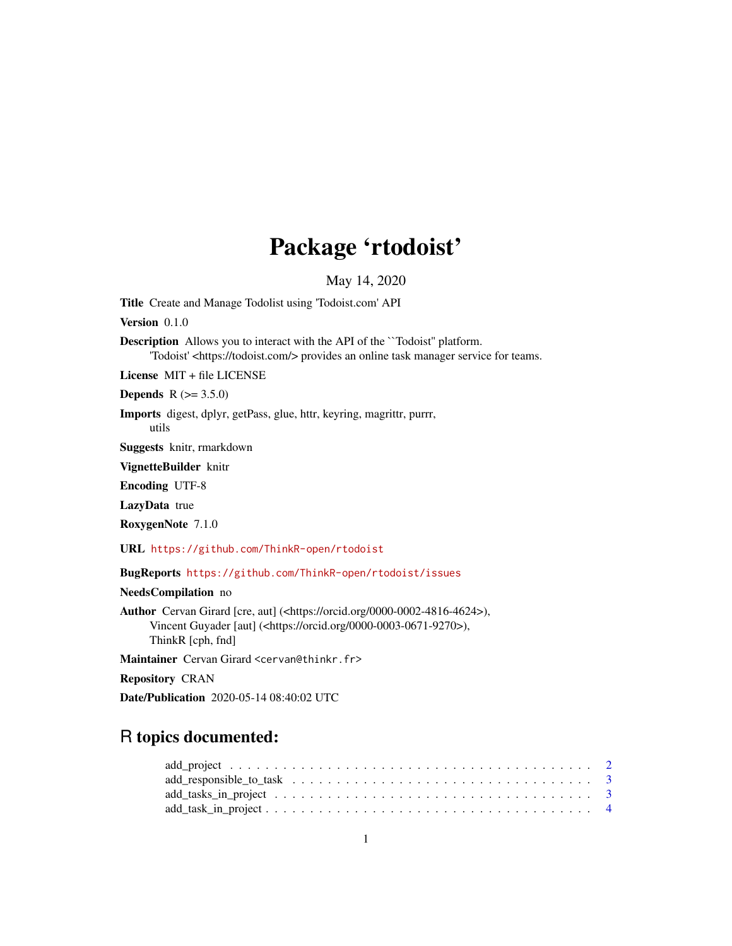## Package 'rtodoist'

May 14, 2020

Title Create and Manage Todolist using 'Todoist.com' API

Version 0.1.0

Description Allows you to interact with the API of the ``Todoist'' platform. 'Todoist' <https://todoist.com/> provides an online task manager service for teams.

License MIT + file LICENSE

**Depends** R  $(>= 3.5.0)$ 

Imports digest, dplyr, getPass, glue, httr, keyring, magrittr, purrr, utils

Suggests knitr, rmarkdown

VignetteBuilder knitr

Encoding UTF-8

LazyData true

RoxygenNote 7.1.0

URL <https://github.com/ThinkR-open/rtodoist>

BugReports <https://github.com/ThinkR-open/rtodoist/issues>

NeedsCompilation no

Author Cervan Girard [cre, aut] (<https://orcid.org/0000-0002-4816-4624>), Vincent Guyader [aut] (<https://orcid.org/0000-0003-0671-9270>), ThinkR [cph, fnd]

Maintainer Cervan Girard <cervan@thinkr.fr>

Repository CRAN

Date/Publication 2020-05-14 08:40:02 UTC

## R topics documented:

| $add\_tasks\_in\_project \ldots \ldots \ldots \ldots \ldots \ldots \ldots \ldots \ldots \ldots \ldots \ldots 3$ |  |  |  |  |  |  |  |  |  |  |  |  |  |  |  |  |
|-----------------------------------------------------------------------------------------------------------------|--|--|--|--|--|--|--|--|--|--|--|--|--|--|--|--|
|                                                                                                                 |  |  |  |  |  |  |  |  |  |  |  |  |  |  |  |  |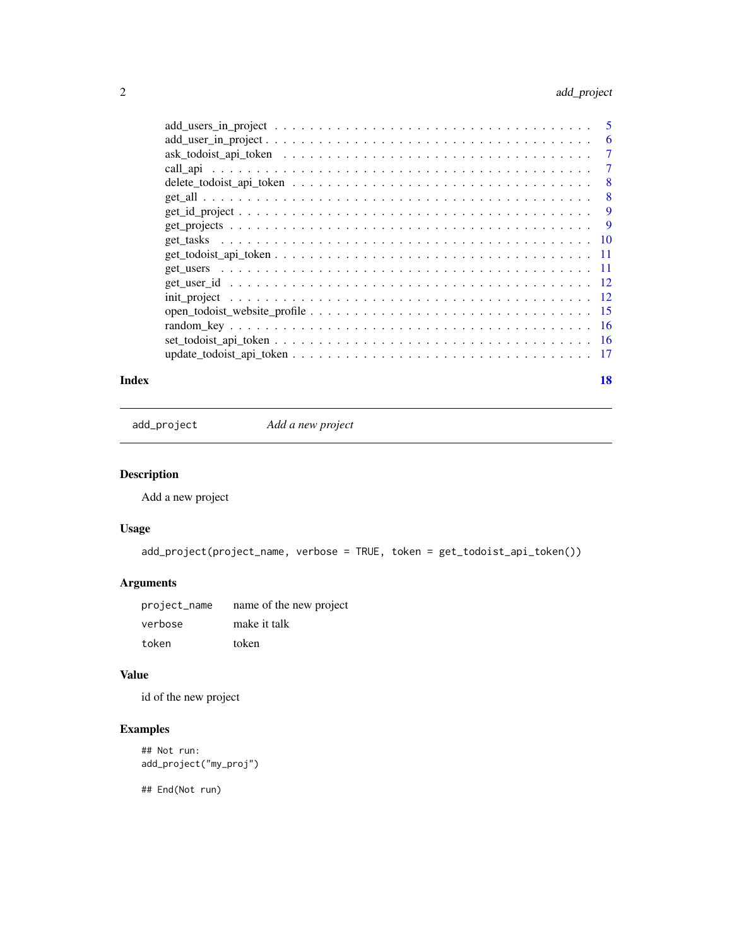#### <span id="page-1-0"></span>2 add\_project

|                                                                                                                       | 6 |
|-----------------------------------------------------------------------------------------------------------------------|---|
|                                                                                                                       | 7 |
|                                                                                                                       | 7 |
|                                                                                                                       | 8 |
|                                                                                                                       | 8 |
|                                                                                                                       | 9 |
| $get\_projects \dots \dots \dots \dots \dots \dots \dots \dots \dots \dots \dots \dots \dots \dots \dots \dots \dots$ | 9 |
|                                                                                                                       |   |
|                                                                                                                       |   |
|                                                                                                                       |   |
|                                                                                                                       |   |
|                                                                                                                       |   |
|                                                                                                                       |   |
|                                                                                                                       |   |
|                                                                                                                       |   |
|                                                                                                                       |   |
|                                                                                                                       |   |

#### **Index** 2008 **[18](#page-17-0)**

add\_project *Add a new project*

#### Description

Add a new project

#### Usage

```
add_project(project_name, verbose = TRUE, token = get_todoist_api_token())
```
#### Arguments

| project_name | name of the new project |
|--------------|-------------------------|
| verbose      | make it talk            |
| token        | token                   |

#### Value

id of the new project

#### Examples

```
## Not run:
add_project("my_proj")
```
## End(Not run)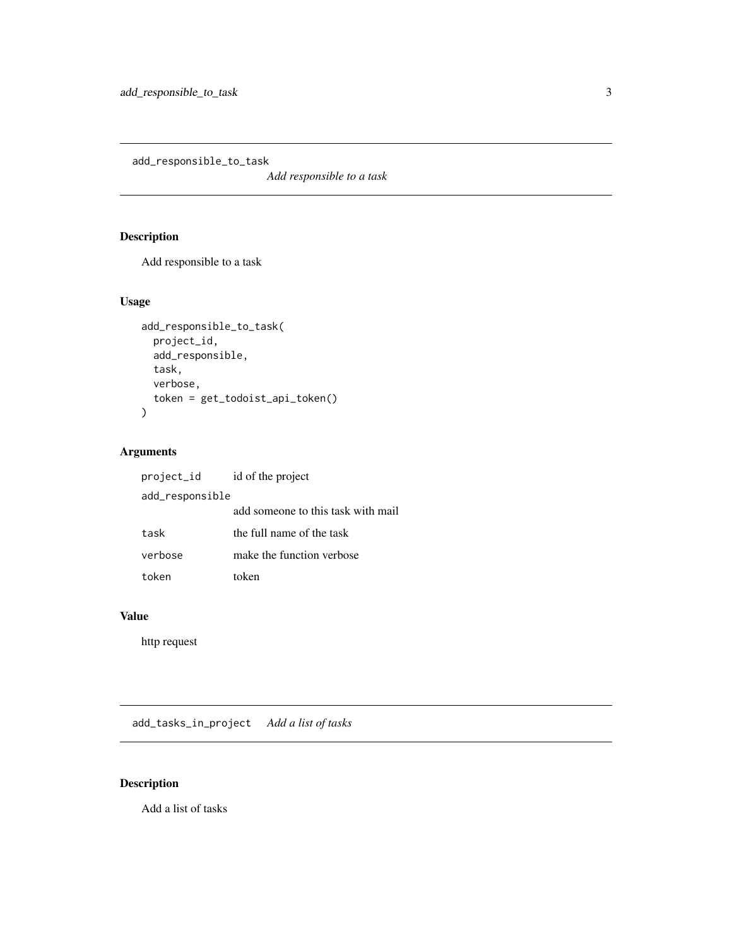<span id="page-2-0"></span>add\_responsible\_to\_task

*Add responsible to a task*

#### Description

Add responsible to a task

#### Usage

```
add_responsible_to_task(
  project_id,
  add_responsible,
  task,
  verbose,
  token = get_todoist_api_token()
\mathcal{L}
```
#### Arguments

| project_id id of the project |                                    |
|------------------------------|------------------------------------|
| add_responsible              |                                    |
|                              | add someone to this task with mail |
| task                         | the full name of the task          |
| verbose                      | make the function verbose          |
| token                        | token                              |

#### Value

http request

add\_tasks\_in\_project *Add a list of tasks*

#### Description

Add a list of tasks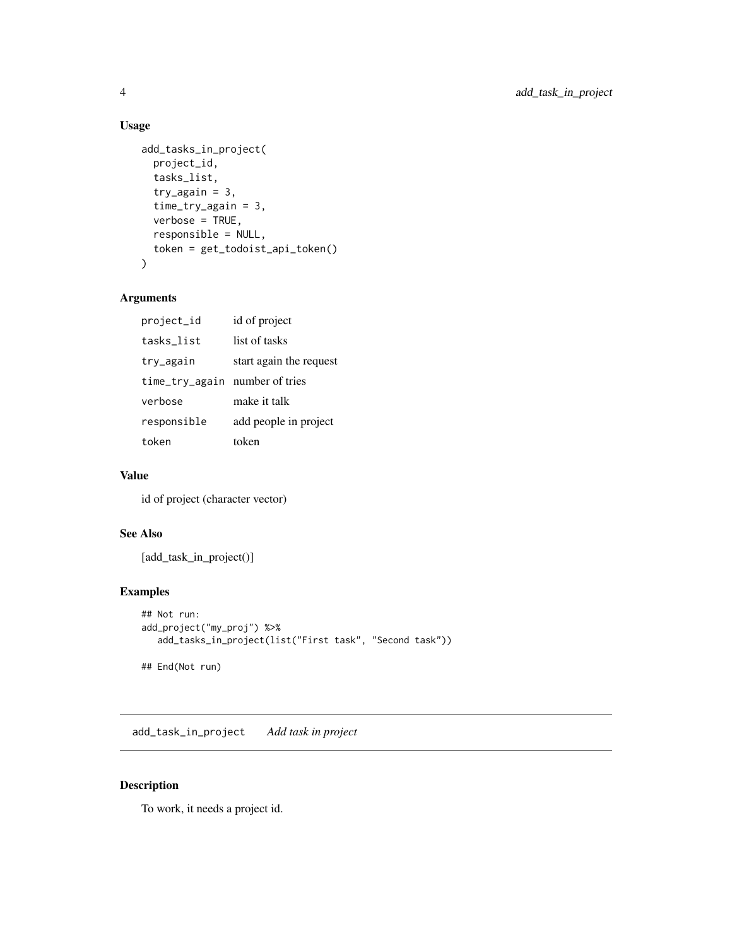#### Usage

```
add_tasks_in_project(
 project_id,
  tasks_list,
  try\_again = 3,
  time_try_again = 3,
  verbose = TRUE,
  responsible = NULL,
  token = get_todoist_api_token()
\mathcal{E}
```
#### Arguments

| project_id                     | id of project           |
|--------------------------------|-------------------------|
| tasks_list                     | list of tasks           |
| try_again                      | start again the request |
| time_try_again number of tries |                         |
| verbose                        | make it talk            |
| responsible                    | add people in project   |
| token                          | token                   |

#### Value

id of project (character vector)

#### See Also

[add\_task\_in\_project()]

#### Examples

```
## Not run:
add_project("my_proj") %>%
  add_tasks_in_project(list("First task", "Second task"))
## End(Not run)
```
add\_task\_in\_project *Add task in project*

#### Description

To work, it needs a project id.

<span id="page-3-0"></span>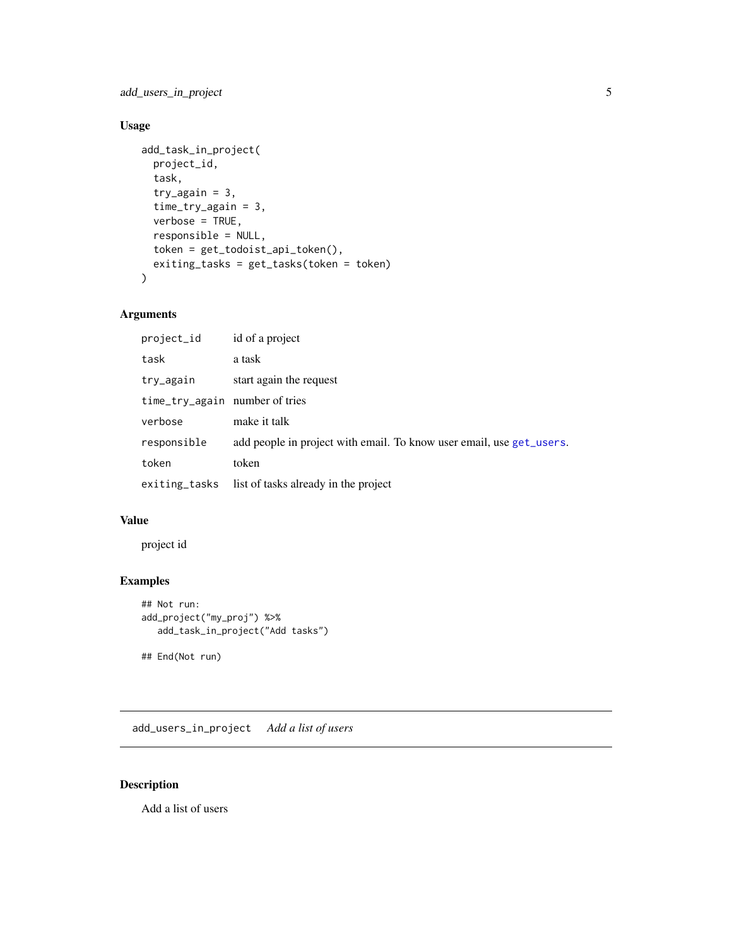<span id="page-4-0"></span>add\_users\_in\_project 5

#### Usage

```
add_task_in_project(
 project_id,
  task,
  try\_again = 3,
  time_try_again = 3,
  verbose = TRUE,
  responsible = NULL,
  token = get_todoist_api_token(),
 exiting_tasks = get_tasks(token = token)
)
```
#### Arguments

| project_id                     | id of a project                                                      |
|--------------------------------|----------------------------------------------------------------------|
| task                           | a task                                                               |
| try_again                      | start again the request                                              |
| time_try_again number of tries |                                                                      |
| verbose                        | make it talk                                                         |
| responsible                    | add people in project with email. To know user email, use get_users. |
| token                          | token                                                                |
|                                | exiting_tasks list of tasks already in the project                   |

#### Value

project id

#### Examples

```
## Not run:
add_project("my_proj") %>%
  add_task_in_project("Add tasks")
## End(Not run)
```
add\_users\_in\_project *Add a list of users*

#### Description

Add a list of users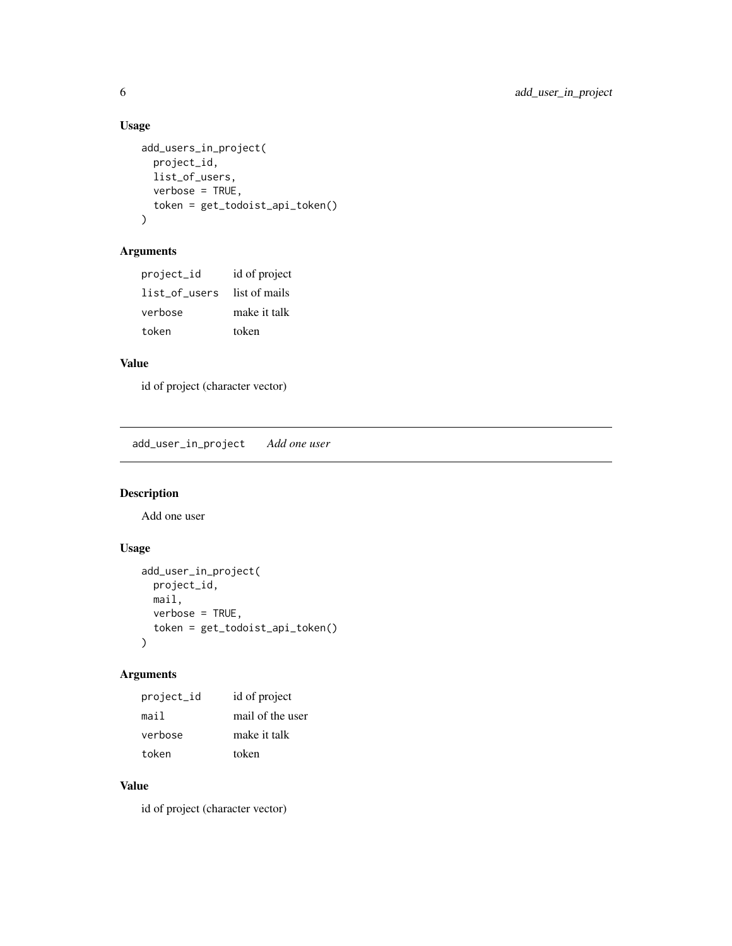#### Usage

```
add_users_in_project(
  project_id,
  list_of_users,
  verbose = TRUE,
  token = get_todoist_api_token()
\mathcal{L}
```
#### Arguments

| project_id    | id of project |
|---------------|---------------|
| list of users | list of mails |
| verbose       | make it talk  |
| token         | token         |

#### Value

id of project (character vector)

add\_user\_in\_project *Add one user*

#### Description

Add one user

#### Usage

```
add_user_in_project(
  project_id,
  mail,
  verbose = TRUE,
  token = get_todoist_api_token()
\mathcal{L}
```
#### Arguments

| project_id | id of project    |
|------------|------------------|
| mail       | mail of the user |
| verbose    | make it talk     |
| token      | token            |

#### Value

id of project (character vector)

<span id="page-5-0"></span>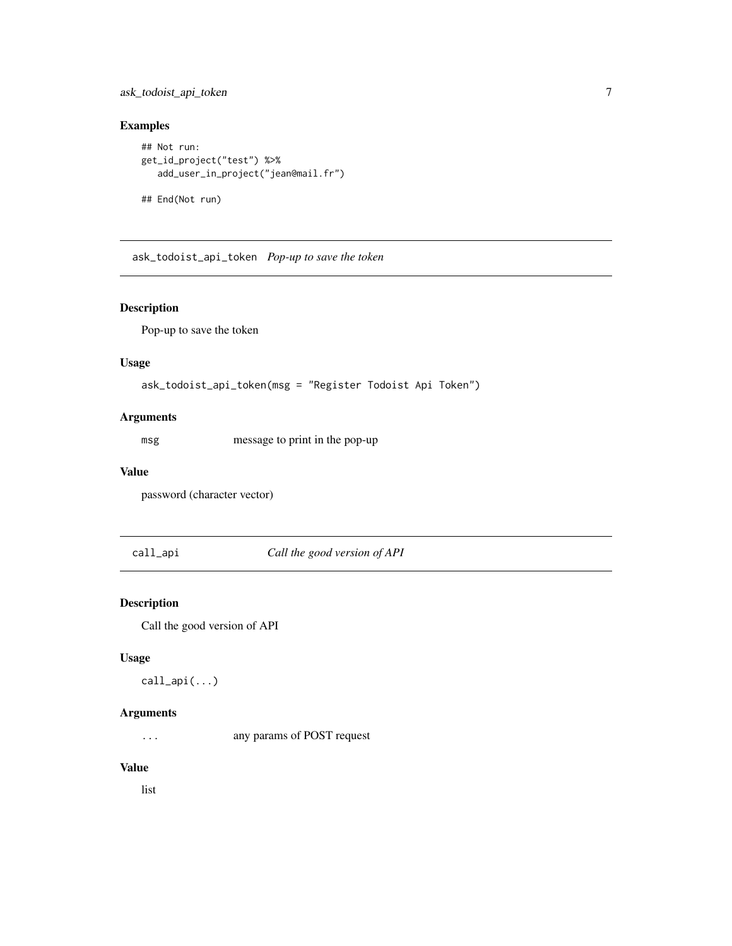#### <span id="page-6-0"></span>ask\_todoist\_api\_token 7

#### Examples

```
## Not run:
get_id_project("test") %>%
   add_user_in_project("jean@mail.fr")
```
## End(Not run)

ask\_todoist\_api\_token *Pop-up to save the token*

#### Description

Pop-up to save the token

#### Usage

```
ask_todoist_api_token(msg = "Register Todoist Api Token")
```
#### Arguments

msg message to print in the pop-up

#### Value

password (character vector)

call\_api *Call the good version of API*

#### Description

Call the good version of API

#### Usage

call\_api(...)

#### Arguments

... any params of POST request

#### Value

list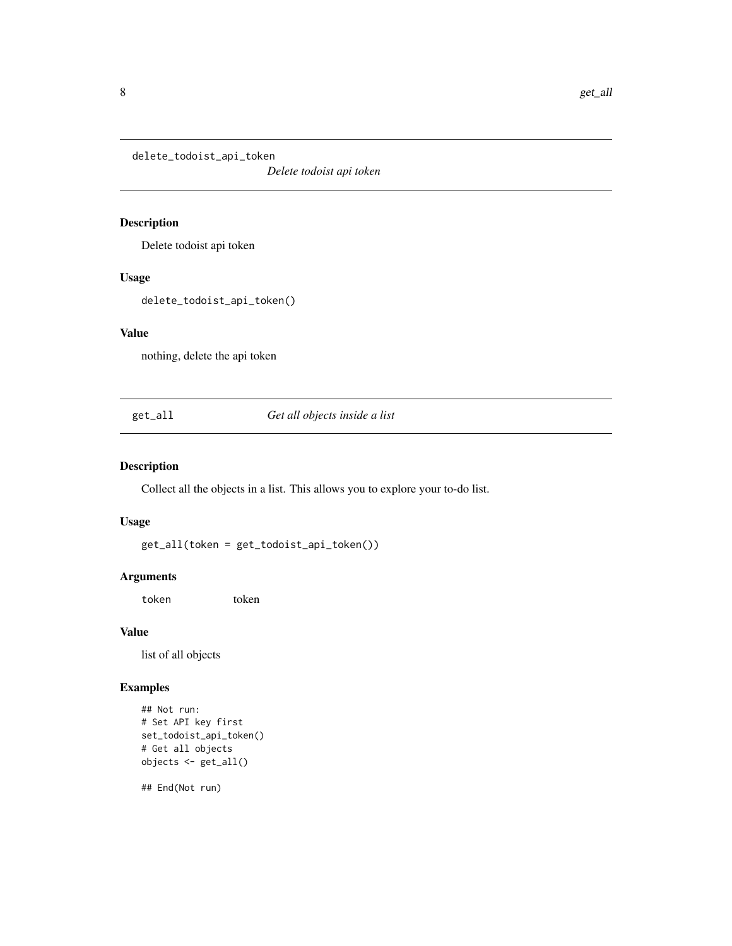<span id="page-7-0"></span>delete\_todoist\_api\_token

*Delete todoist api token*

#### Description

Delete todoist api token

#### Usage

delete\_todoist\_api\_token()

#### Value

nothing, delete the api token

get\_all *Get all objects inside a list*

#### Description

Collect all the objects in a list. This allows you to explore your to-do list.

#### Usage

get\_all(token = get\_todoist\_api\_token())

#### Arguments

token token

#### Value

list of all objects

#### Examples

```
## Not run:
# Set API key first
set_todoist_api_token()
# Get all objects
objects <- get_all()
```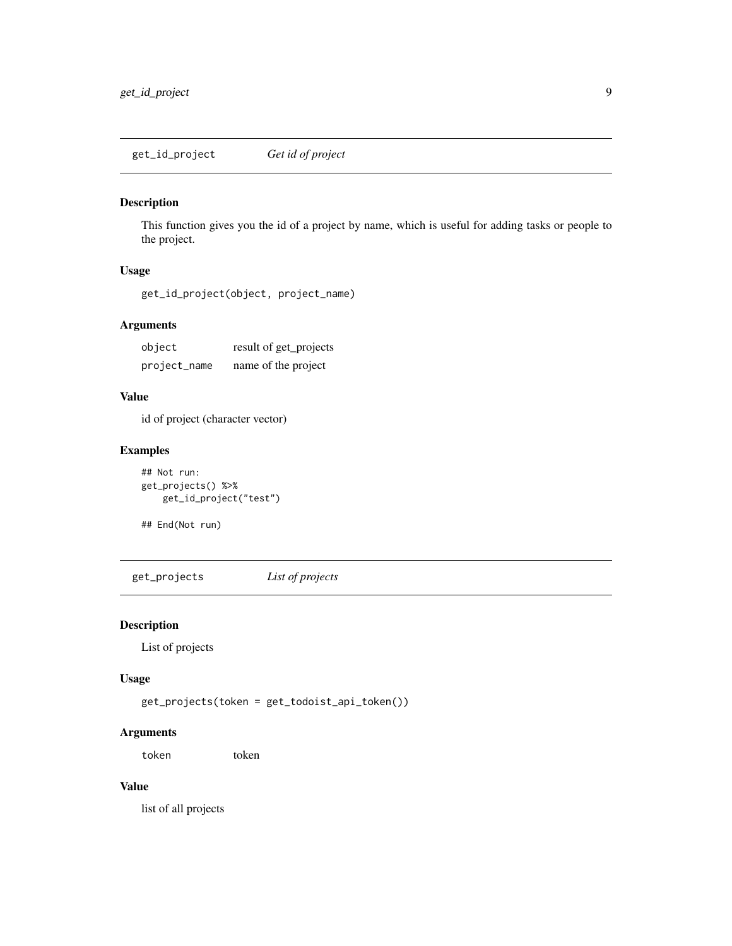<span id="page-8-0"></span>get\_id\_project *Get id of project*

#### Description

This function gives you the id of a project by name, which is useful for adding tasks or people to the project.

#### Usage

get\_id\_project(object, project\_name)

#### Arguments

| object       | result of get_projects |
|--------------|------------------------|
| project_name | name of the project    |

#### Value

id of project (character vector)

#### Examples

## Not run: get\_projects() %>% get\_id\_project("test")

## End(Not run)

get\_projects *List of projects*

#### Description

List of projects

#### Usage

```
get_projects(token = get_todoist_api_token())
```
#### Arguments

token token

#### Value

list of all projects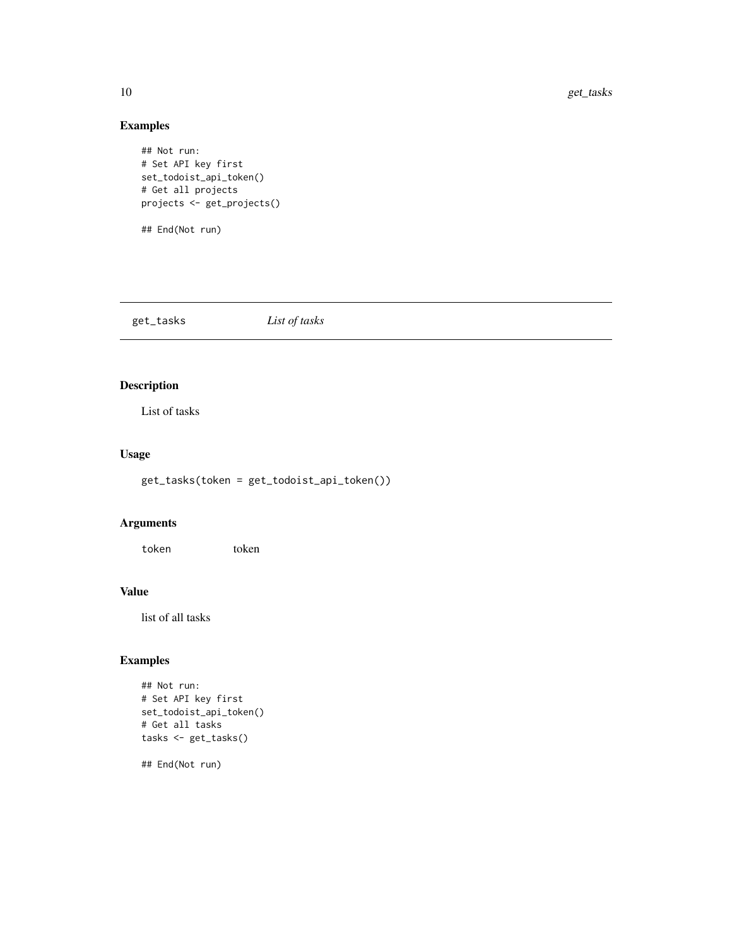#### Examples

```
## Not run:
# Set API key first
set_todoist_api_token()
# Get all projects
projects <- get_projects()
## End(Not run)
```
get\_tasks *List of tasks*

#### Description

List of tasks

#### Usage

get\_tasks(token = get\_todoist\_api\_token())

#### Arguments

token token

#### Value

list of all tasks

#### Examples

```
## Not run:
# Set API key first
set_todoist_api_token()
# Get all tasks
tasks <- get_tasks()
```
## End(Not run)

<span id="page-9-0"></span>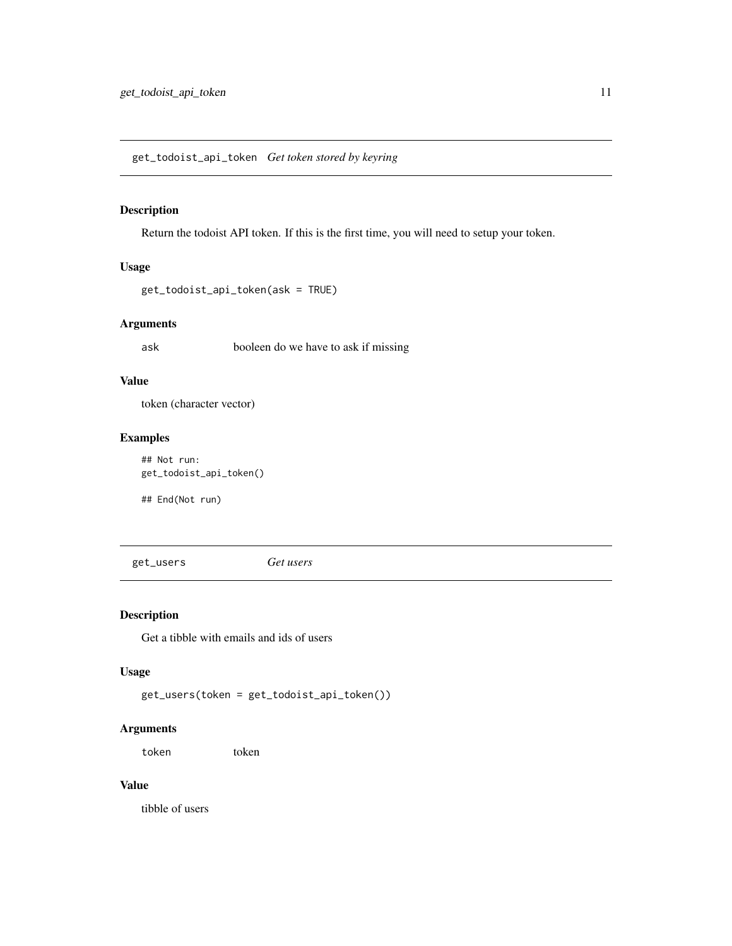#### <span id="page-10-0"></span>Description

Return the todoist API token. If this is the first time, you will need to setup your token.

#### Usage

```
get_todoist_api_token(ask = TRUE)
```
#### Arguments

ask booleen do we have to ask if missing

#### Value

token (character vector)

#### Examples

## Not run: get\_todoist\_api\_token()

## End(Not run)

<span id="page-10-1"></span>get\_users *Get users*

#### Description

Get a tibble with emails and ids of users

#### Usage

get\_users(token = get\_todoist\_api\_token())

#### Arguments

token token

#### Value

tibble of users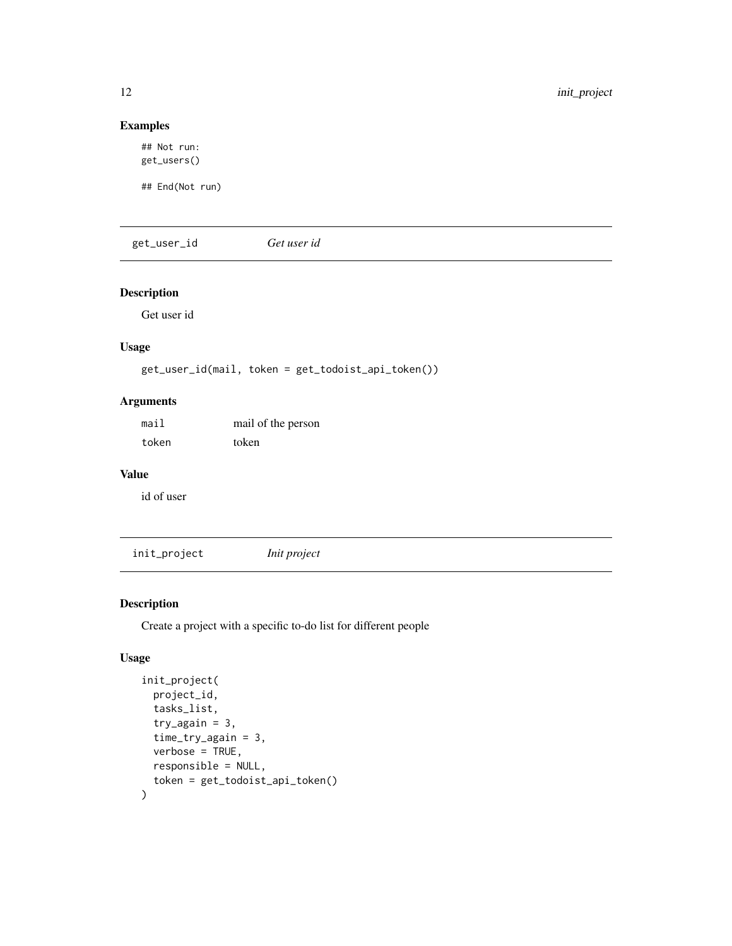#### Examples

## Not run: get\_users()

## End(Not run)

get\_user\_id *Get user id*

#### Description

Get user id

#### Usage

get\_user\_id(mail, token = get\_todoist\_api\_token())

#### Arguments

| mail  | mail of the person |
|-------|--------------------|
| token | token              |

#### Value

id of user

init\_project *Init project*

#### Description

Create a project with a specific to-do list for different people

#### Usage

```
init_project(
 project_id,
  tasks_list,
  try\_again = 3,
  time_try_again = 3,
  verbose = TRUE,
  responsible = NULL,
  token = get_todoist_api_token()
)
```
<span id="page-11-0"></span>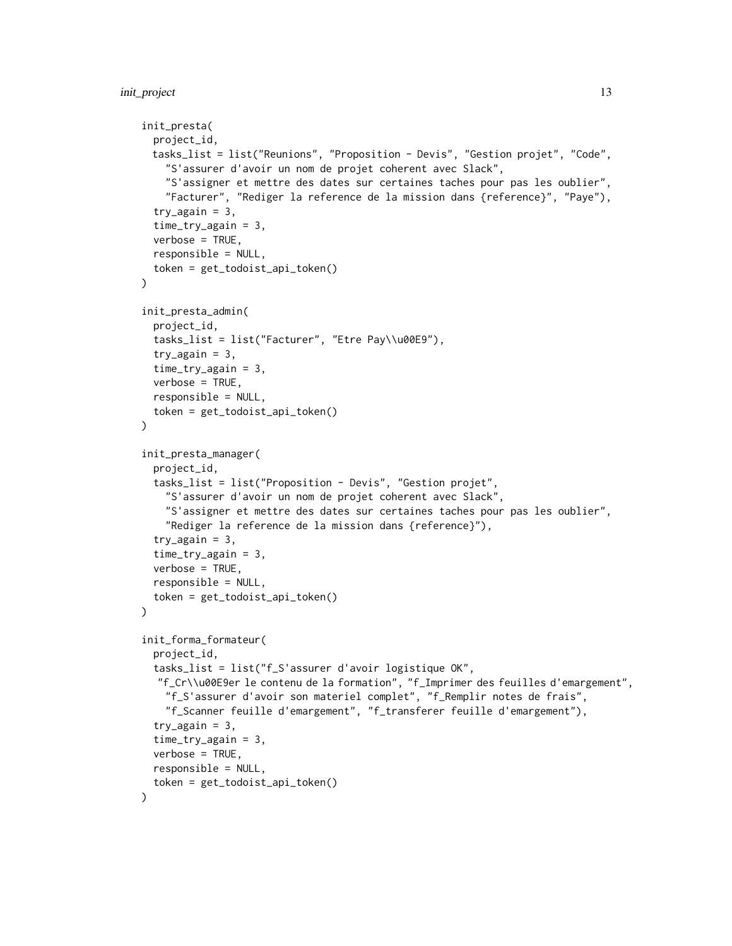```
init_presta(
 project_id,
 tasks_list = list("Reunions", "Proposition - Devis", "Gestion projet", "Code",
    "S'assurer d'avoir un nom de projet coherent avec Slack",
    "S'assigner et mettre des dates sur certaines taches pour pas les oublier",
    "Facturer", "Rediger la reference de la mission dans {reference}", "Paye"),
  try\_again = 3,
  time_try_again = 3,
  verbose = TRUE,
  responsible = NULL,
  token = get_todoist_api_token()
\lambdainit_presta_admin(
  project_id,
  tasks_list = list("Facturer", "Etre Pay\\u00E9"),
  try\_again = 3,
  time_try_again = 3,
 verbose = TRUE,
  responsible = NULL,
  token = get_todoist_api_token()
\lambdainit_presta_manager(
  project_id,
  tasks_list = list("Proposition - Devis", "Gestion projet",
    "S'assurer d'avoir un nom de projet coherent avec Slack",
    "S'assigner et mettre des dates sur certaines taches pour pas les oublier",
    "Rediger la reference de la mission dans {reference}"),
  try\_again = 3,
  time_{try\_again} = 3,
  verbose = TRUE,
  responsible = NULL,
  token = get_todoist_api_token()
\lambdainit_forma_formateur(
 project_id,
  tasks_list = list("f_S'assurer d'avoir logistique OK",
  "f_Cr\\u00E9er le contenu de la formation", "f_Imprimer des feuilles d'emargement",
    "f_S'assurer d'avoir son materiel complet", "f_Remplir notes de frais",
    "f_Scanner feuille d'emargement", "f_transferer feuille d'emargement"),
  try\_again = 3,
  time_try_again = 3,
  verbose = TRUE,
  responsible = NULL,
  token = get_todoist_api_token()
)
```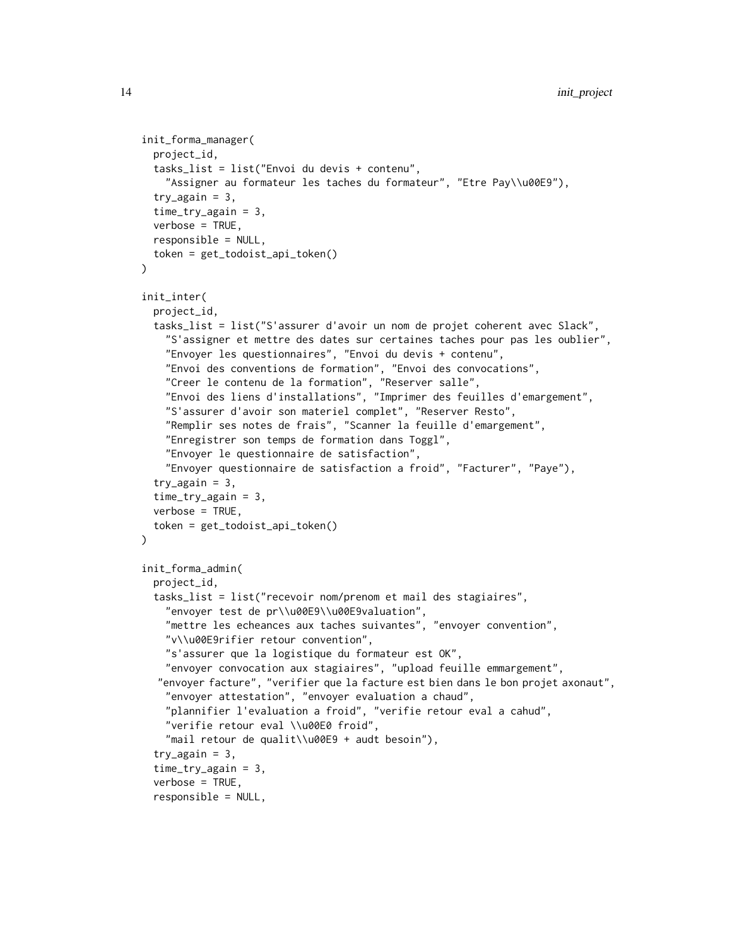```
init_forma_manager(
  project_id,
  tasks_list = list("Envoi du devis + contenu",
    "Assigner au formateur les taches du formateur", "Etre Pay\\u00E9"),
  try\_again = 3,
  time_try_again = 3,
  verbose = TRUE,
  responsible = NULL,
  token = get_todoist_api_token()
\mathcal{L}init_inter(
 project_id,
  tasks_list = list("S'assurer d'avoir un nom de projet coherent avec Slack",
    "S'assigner et mettre des dates sur certaines taches pour pas les oublier",
    "Envoyer les questionnaires", "Envoi du devis + contenu",
    "Envoi des conventions de formation", "Envoi des convocations",
    "Creer le contenu de la formation", "Reserver salle",
    "Envoi des liens d'installations", "Imprimer des feuilles d'emargement",
    "S'assurer d'avoir son materiel complet", "Reserver Resto",
    "Remplir ses notes de frais", "Scanner la feuille d'emargement",
    "Enregistrer son temps de formation dans Toggl",
    "Envoyer le questionnaire de satisfaction",
    "Envoyer questionnaire de satisfaction a froid", "Facturer", "Paye"),
  try\_again = 3,
  time_try_again = 3,
  verbose = TRUE,
  token = get_todoist_api_token()
\mathcal{L}init_forma_admin(
  project_id,
  tasks_list = list("recevoir nom/prenom et mail des stagiaires",
    "envoyer test de pr\\u00E9\\u00E9valuation",
    "mettre les echeances aux taches suivantes", "envoyer convention",
    "v\\u00E9rifier retour convention",
    "s'assurer que la logistique du formateur est OK",
    "envoyer convocation aux stagiaires", "upload feuille emmargement",
  "envoyer facture", "verifier que la facture est bien dans le bon projet axonaut",
    "envoyer attestation", "envoyer evaluation a chaud",
    "plannifier l'evaluation a froid", "verifie retour eval a cahud",
    "verifie retour eval \\u00E0 froid",
    "mail retour de qualit\\u00E9 + audt besoin"),
  try\_again = 3,
  time_try_again = 3,
  verbose = TRUE,
  responsible = NULL,
```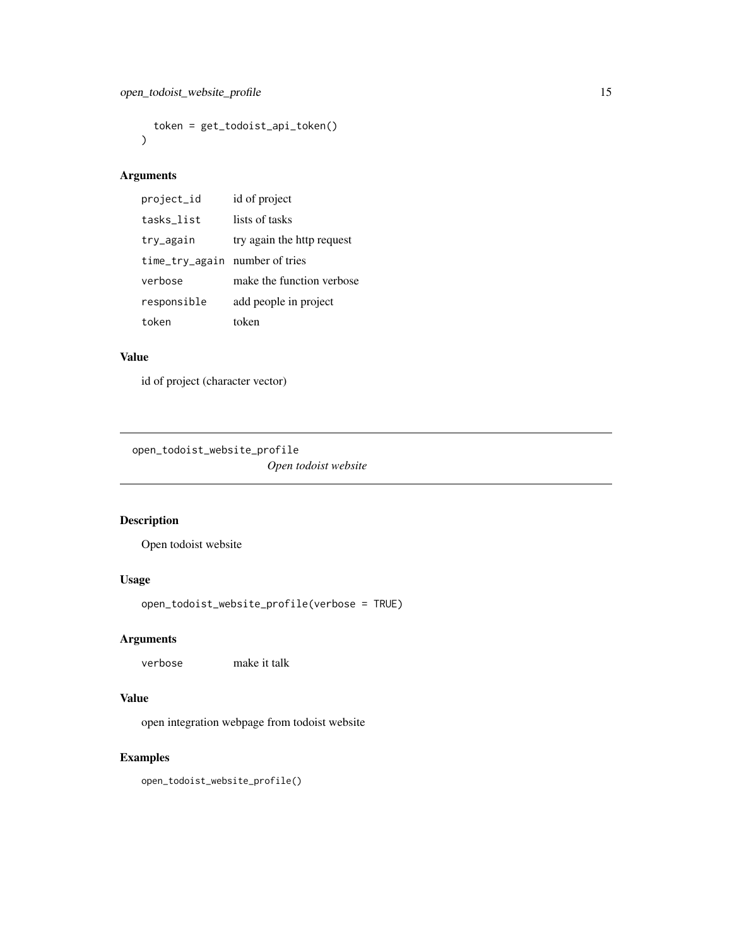```
token = get_todoist_api_token()
\mathcal{L}
```
#### Arguments

| project_id                     | id of project              |
|--------------------------------|----------------------------|
| tasks list                     | lists of tasks             |
| try_again                      | try again the http request |
| time_try_again number of tries |                            |
| verbose                        | make the function verbose  |
| responsible                    | add people in project      |
| token                          | token                      |

#### Value

id of project (character vector)

<span id="page-14-1"></span>open\_todoist\_website\_profile *Open todoist website*

#### Description

Open todoist website

#### Usage

```
open_todoist_website_profile(verbose = TRUE)
```
#### Arguments

verbose make it talk

#### Value

open integration webpage from todoist website

#### Examples

open\_todoist\_website\_profile()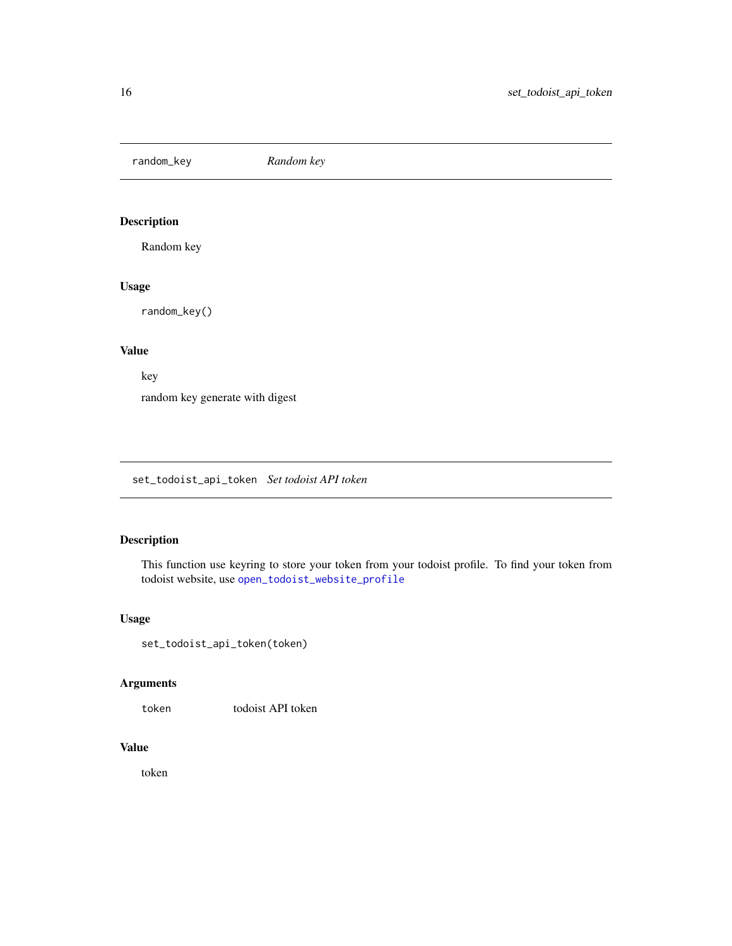<span id="page-15-0"></span>random\_key *Random key*

#### Description

Random key

#### Usage

random\_key()

#### Value

key

random key generate with digest

set\_todoist\_api\_token *Set todoist API token*

#### Description

This function use keyring to store your token from your todoist profile. To find your token from todoist website, use [open\\_todoist\\_website\\_profile](#page-14-1)

#### Usage

set\_todoist\_api\_token(token)

#### Arguments

token todoist API token

#### Value

token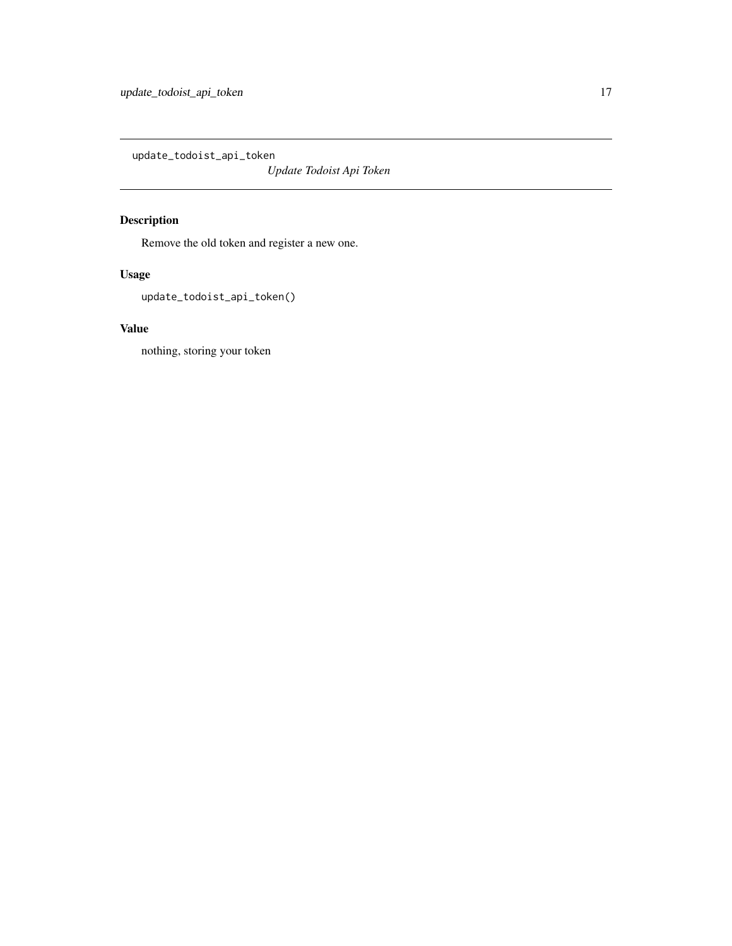<span id="page-16-0"></span>update\_todoist\_api\_token

*Update Todoist Api Token*

### Description

Remove the old token and register a new one.

#### Usage

update\_todoist\_api\_token()

#### Value

nothing, storing your token